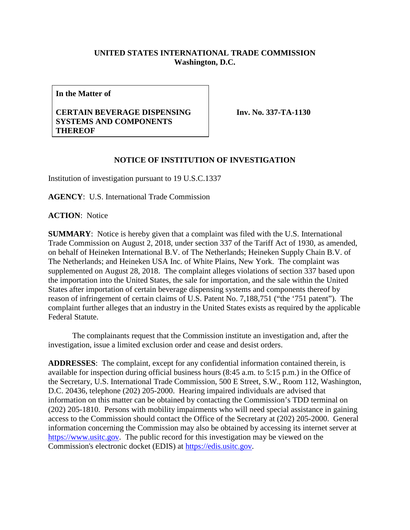## **UNITED STATES INTERNATIONAL TRADE COMMISSION Washington, D.C.**

**In the Matter of**

## **CERTAIN BEVERAGE DISPENSING SYSTEMS AND COMPONENTS THEREOF**

**Inv. No. 337-TA-1130**

## **NOTICE OF INSTITUTION OF INVESTIGATION**

Institution of investigation pursuant to 19 U.S.C.1337

**AGENCY**: U.S. International Trade Commission

**ACTION**: Notice

**SUMMARY**: Notice is hereby given that a complaint was filed with the U.S. International Trade Commission on August 2, 2018, under section 337 of the Tariff Act of 1930, as amended, on behalf of Heineken International B.V. of The Netherlands; Heineken Supply Chain B.V. of The Netherlands; and Heineken USA Inc. of White Plains, New York. The complaint was supplemented on August 28, 2018. The complaint alleges violations of section 337 based upon the importation into the United States, the sale for importation, and the sale within the United States after importation of certain beverage dispensing systems and components thereof by reason of infringement of certain claims of U.S. Patent No. 7,188,751 ("the '751 patent"). The complaint further alleges that an industry in the United States exists as required by the applicable Federal Statute.

The complainants request that the Commission institute an investigation and, after the investigation, issue a limited exclusion order and cease and desist orders.

**ADDRESSES**: The complaint, except for any confidential information contained therein, is available for inspection during official business hours (8:45 a.m. to 5:15 p.m.) in the Office of the Secretary, U.S. International Trade Commission, 500 E Street, S.W., Room 112, Washington, D.C. 20436, telephone (202) 205-2000. Hearing impaired individuals are advised that information on this matter can be obtained by contacting the Commission's TDD terminal on (202) 205-1810. Persons with mobility impairments who will need special assistance in gaining access to the Commission should contact the Office of the Secretary at (202) 205-2000. General information concerning the Commission may also be obtained by accessing its internet server at [https://www.usitc.gov.](https://www.usitc.gov/) The public record for this investigation may be viewed on the Commission's electronic docket (EDIS) at [https://edis.usitc.gov.](https://edis.usitc.gov/)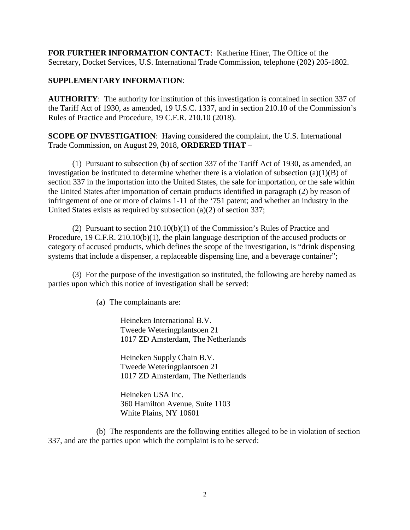**FOR FURTHER INFORMATION CONTACT**: Katherine Hiner, The Office of the Secretary, Docket Services, U.S. International Trade Commission, telephone (202) 205-1802.

## **SUPPLEMENTARY INFORMATION**:

**AUTHORITY**: The authority for institution of this investigation is contained in section 337 of the Tariff Act of 1930, as amended, 19 U.S.C. 1337, and in section 210.10 of the Commission's Rules of Practice and Procedure, 19 C.F.R. 210.10 (2018).

**SCOPE OF INVESTIGATION**: Having considered the complaint, the U.S. International Trade Commission, on August 29, 2018, **ORDERED THAT** –

(1) Pursuant to subsection (b) of section 337 of the Tariff Act of 1930, as amended, an investigation be instituted to determine whether there is a violation of subsection  $(a)(1)(B)$  of section 337 in the importation into the United States, the sale for importation, or the sale within the United States after importation of certain products identified in paragraph (2) by reason of infringement of one or more of claims 1-11 of the '751 patent; and whether an industry in the United States exists as required by subsection (a)(2) of section 337;

(2) Pursuant to section 210.10(b)(1) of the Commission's Rules of Practice and Procedure, 19 C.F.R. 210.10(b)(1), the plain language description of the accused products or category of accused products, which defines the scope of the investigation, is "drink dispensing systems that include a dispenser, a replaceable dispensing line, and a beverage container";

(3) For the purpose of the investigation so instituted, the following are hereby named as parties upon which this notice of investigation shall be served:

(a) The complainants are:

Heineken International B.V. Tweede Weteringplantsoen 21 1017 ZD Amsterdam, The Netherlands

Heineken Supply Chain B.V. Tweede Weteringplantsoen 21 1017 ZD Amsterdam, The Netherlands

Heineken USA Inc. 360 Hamilton Avenue, Suite 1103 White Plains, NY 10601

(b) The respondents are the following entities alleged to be in violation of section 337, and are the parties upon which the complaint is to be served: